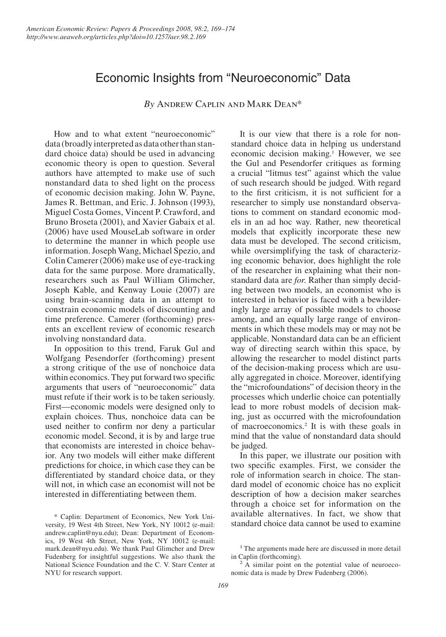## Economic Insights from "Neuroeconomic" Data

*By* Andrew Caplin and Mark Dean\*

How and to what extent "neuroeconomic" data (broadly interpreted as data other than standard choice data) should be used in advancing economic theory is open to question. Several authors have attempted to make use of such nonstandard data to shed light on the process of economic decision making. John W. Payne, James R. Bettman, and Eric. J. Johnson (1993), Miguel Costa Gomes, Vincent P. Crawford, and Bruno Broseta (2001), and Xavier Gabaix et al. (2006) have used MouseLab software in order to determine the manner in which people use information. Joseph Wang, Michael Spezio, and Colin Camerer (2006) make use of eye-tracking data for the same purpose. More dramatically, researchers such as Paul William Glimcher, Joseph Kable, and Kenway Louie (2007) are using brain-scanning data in an attempt to constrain economic models of discounting and time preference. Camerer (forthcoming) presents an excellent review of economic research involving nonstandard data.

In opposition to this trend, Faruk Gul and Wolfgang Pesendorfer (forthcoming) present a strong critique of the use of nonchoice data within economics. They put forward two specific arguments that users of "neuroeconomic" data must refute if their work is to be taken seriously. First—economic models were designed only to explain choices. Thus, nonchoice data can be used neither to confirm nor deny a particular economic model. Second, it is by and large true that economists are interested in choice behavior. Any two models will either make different predictions for choice, in which case they can be differentiated by standard choice data, or they will not, in which case an economist will not be interested in differentiating between them.

\* Caplin: Department of Economics, New York University, 19 West 4th Street, New York, NY 10012 (e-mail: andrew.caplin@nyu.edu); Dean: Department of Economics, 19 West 4th Street, New York, NY 10012 (e-mail: mark.dean@nyu.edu). We thank Paul Glimcher and Drew Fudenberg for insightful suggestions. We also thank the National Science Foundation and the C. V. Starr Center at NYU for research support.

It is our view that there is a role for nonstandard choice data in helping us understand economic decision making.<sup>1</sup> However, we see the Gul and Pesendorfer critiques as forming a crucial "litmus test" against which the value of such research should be judged. With regard to the first criticism, it is not sufficient for a researcher to simply use nonstandard observations to comment on standard economic models in an ad hoc way. Rather, new theoretical models that explicitly incorporate these new data must be developed. The second criticism, while oversimplifying the task of characterizing economic behavior, does highlight the role of the researcher in explaining what their nonstandard data are *for*. Rather than simply deciding between two models, an economist who is interested in behavior is faced with a bewilderingly large array of possible models to choose among, and an equally large range of environments in which these models may or may not be applicable. Nonstandard data can be an efficient way of directing search within this space, by allowing the researcher to model distinct parts of the decision-making process which are usually aggregated in choice. Moreover, identifying the "microfoundations" of decision theory in the processes which underlie choice can potentially lead to more robust models of decision making, just as occurred with the microfoundation of macroeconomics.<sup>2</sup> It is with these goals in mind that the value of nonstandard data should be judged.

In this paper, we illustrate our position with two specific examples. First, we consider the role of information search in choice. The standard model of economic choice has no explicit description of how a decision maker searches through a choice set for information on the available alternatives. In fact, we show that standard choice data cannot be used to examine

 $^{\rm 1}$  The arguments made here are discussed in more detail in Caplin (forthcoming).

A similar point on the potential value of neuroeconomic data is made by Drew Fudenberg (2006).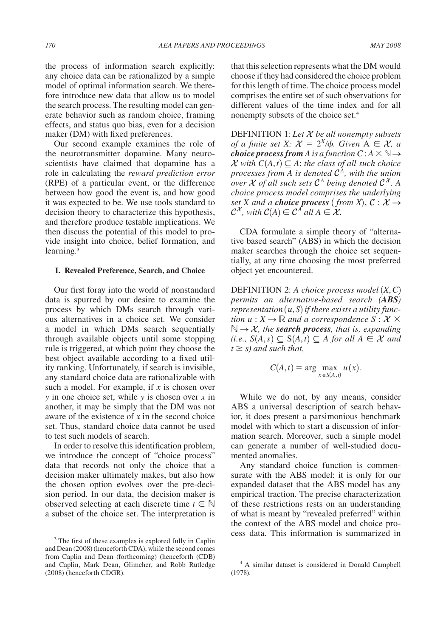the process of information search explicitly: any choice data can be rationalized by a simple model of optimal information search. We therefore introduce new data that allow us to model the search process. The resulting model can generate behavior such as random choice, framing effects, and status quo bias, even for a decision maker (DM) with fixed preferences.

Our second example examines the role of the neurotransmitter dopamine. Many neuroscientists have claimed that dopamine has a role in calculating the *reward prediction error*  (RPE) of a particular event, or the difference between how good the event is, and how good it was expected to be. We use tools standard to decision theory to characterize this hypothesis, and therefore produce testable implications. We then discuss the potential of this model to provide insight into choice, belief formation, and learning.

## **I. Revealed Preference, Search, and Choice**

Our first foray into the world of nonstandard data is spurred by our desire to examine the process by which DMs search through various alternatives in a choice set. We consider a model in which DMs search sequentially through available objects until some stopping rule is triggered, at which point they choose the best object available according to a fixed utility ranking. Unfortunately, if search is invisible, any standard choice data are rationalizable with such a model. For example, if *x* is chosen over *y* in one choice set, while *y* is chosen over *x* in another, it may be simply that the DM was not aware of the existence of *x* in the second choice set. Thus, standard choice data cannot be used to test such models of search.

In order to resolve this identification problem, we introduce the concept of "choice process" data that records not only the choice that a decision maker ultimately makes, but also how the chosen option evolves over the pre-decision period. In our data, the decision maker is observed selecting at each discrete time  $t \in \mathbb{N}$ a subset of the choice set. The interpretation is that this selection represents what the DM would choose if they had considered the choice problem for this length of time. The choice process model comprises the entire set of such observations for different values of the time index and for all nonempty subsets of the choice set.

DEFINITION 1: Let  $X$  be all nonempty subsets *of a finite set X:*  $\mathcal{X} = 2^X/\phi$ *. Given*  $A \in \mathcal{X}$ *, a choice process from A is a function*  $C : A \times \mathbb{N} \rightarrow$  $\mathcal X$  with  $C(A,t) \subseteq A$ : the class of all such choice *processes from A is denoted* C *A, with the union over* X *of all such sets* C *<sup>A</sup> being denoted* C X*. A choice process model comprises the underlying set X and a choice process (from X),*  $C : \mathcal{X} \rightarrow$  $\mathcal{C}^{\mathcal{X}}$ , with  $\mathcal{C}(A) \in \mathcal{C}^{\mathcal{A}}$  all  $A \in \mathcal{X}$ .

CDA formulate a simple theory of "alternative based search" (ABS) in which the decision maker searches through the choice set sequentially, at any time choosing the most preferred object yet encountered.

DEFINITION 2: *A choice process model*  $(X, C)$ *permits an alternative-based search (ABS) representation*  $(u, S)$  *if there exists a utility function*  $u: X \to \mathbb{R}$  *and a correspondence*  $S: X \times$  $\mathbb{N} \rightarrow \mathcal{X}$ *, the search process, that is, expanding*  $(i.e., S(A, s) \subseteq S(A, t) \subseteq A$  *for all*  $A \in \mathcal{X}$  *and*  $t \geq s$ ) and such that,

$$
C(A,t) = \arg \max_{x \in S(A,t)} u(x).
$$

While we do not, by any means, consider ABS a universal description of search behavior, it does present a parsimonious benchmark model with which to start a discussion of information search. Moreover, such a simple model can generate a number of well-studied documented anomalies.

Any standard choice function is commensurate with the ABS model: it is only for our expanded dataset that the ABS model has any empirical traction. The precise characterization of these restrictions rests on an understanding of what is meant by "revealed preferred" within the context of the ABS model and choice process data. This information is summarized in

<sup>&</sup>lt;sup>3</sup> The first of these examples is explored fully in Caplin and Dean (2008) (henceforth CDA), while the second comes from Caplin and Dean (forthcoming) (henceforth (CDB) and Caplin, Mark Dean, Glimcher, and Robb Rutledge (2008) (henceforth CDGR).

A similar dataset is considered in Donald Campbell (1978).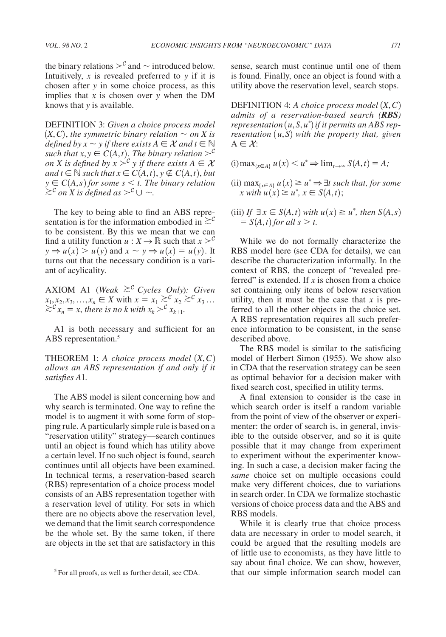the binary relations  $>^c$  and  $\sim$  introduced below. Intuitively,  $x$  is revealed preferred to  $y$  if it is chosen after *y* in some choice process, as this implies that *x* is chosen over *y* when the DM knows that *y* is available.

Definition 3: *Given a choice process model*   $(X, C)$ *, the symmetric binary relation*  $\sim$  *on X* is *defined by x*  $\sim$  *y if there exists A*  $\in$  *X and t*  $\in$  N *such that x,y*  $\in C(A,t)$ *. The binary relation*  $>^c$ *on X is defined by*  $x >^c y$  *if there exists*  $A \in \mathcal{X}$  $\mathcal{L} \in \mathbb{N}$  *such that*  $x \in C(A, t), y \notin C(A, t), \text{ but }$  $y \in C(A, s)$  *for some s*  $\lt t$ *. The binary relation*  $\gtrsim^c$  on X is defined as  $>^c \cup \sim$ .

The key to being able to find an ABS representation is for the information embodied in  $\gtrsim^c$ to be consistent. By this we mean that we can find a utility function  $u: X \to \mathbb{R}$  such that  $x >^C$  $y \Rightarrow u(x) > u(y)$  and  $x \sim y \Rightarrow u(x) = u(y)$ . It turns out that the necessary condition is a variant of acylicality.

AXIOM A1 (*Weak*  $\geq^c$  *Cycles Only): Given*  $x_1, x_2, x_3, \ldots, x_n \in X$  with  $x = x_1 \geq c$   $x_2 \geq c$   $x_3 \ldots$  $\geq^{c} x_{n} = x$ , there is no k with  $x_{k} >^{c} x_{k+1}$ .

A1 is both necessary and sufficient for an ABS representation.<sup>5</sup>

**THEOREM** 1: *A choice process model*  $(X, C)$ *allows an ABS representation if and only if it satisfies A*1*.*

The ABS model is silent concerning how and why search is terminated. One way to refine the model is to augment it with some form of stopping rule. A particularly simple rule is based on a "reservation utility" strategy—search continues until an object is found which has utility above a certain level. If no such object is found, search continues until all objects have been examined. In technical terms, a reservation-based search (RBS) representation of a choice process model consists of an ABS representation together with a reservation level of utility. For sets in which there are no objects above the reservation level, we demand that the limit search correspondence be the whole set. By the same token, if there are objects in the set that are satisfactory in this

sense, search must continue until one of them is found. Finally, once an object is found with a utility above the reservation level, search stops.

DEFINITION 4: *A choice process model*  $(X, C)$ *admits of a reservation-based search (RBS) representation*  $(u, S, u^*)$  *if it permits an ABS representation*  $(u, S)$  *with the property that, given*  $A \in \mathcal{X}$ :

- $(i)$  max $\{x_{k \in A}\}\ u(x) \leq u^* \Rightarrow \lim_{t \to \infty} S(A, t) = A;$
- (ii) max $_{x \in A} u(x) \ge u^* \Rightarrow \exists t$  such that, for some  $x \text{ with } u(x) \geq u^*, x \in S(A,t);$
- (iii) If  $\exists x \in S(A,t)$  with  $u(x) \ge u^*$ , then  $S(A,s)$  $= S(A,t)$  for all  $s > t$ .

While we do not formally characterize the RBS model here (see CDA for details), we can describe the characterization informally. In the context of RBS, the concept of "revealed preferred" is extended. If *x* is chosen from a choice set containing only items of below reservation utility, then it must be the case that  $x$  is preferred to all the other objects in the choice set. A RBS representation requires all such preference information to be consistent, in the sense described above.

The RBS model is similar to the satisficing model of Herbert Simon (1955). We show also in CDA that the reservation strategy can be seen as optimal behavior for a decision maker with fixed search cost, specified in utility terms.

A final extension to consider is the case in which search order is itself a random variable from the point of view of the observer or experimenter: the order of search is, in general, invisible to the outside observer, and so it is quite possible that it may change from experiment to experiment without the experimenter knowing. In such a case, a decision maker facing the *same* choice set on multiple occasions could make very different choices, due to variations in search order. In CDA we formalize stochastic versions of choice process data and the ABS and RBS models.

While it is clearly true that choice process data are necessary in order to model search, it could be argued that the resulting models are of little use to economists, as they have little to say about final choice. We can show, however, that our simple information search model can

<sup>&</sup>lt;sup>5</sup> For all proofs, as well as further detail, see CDA.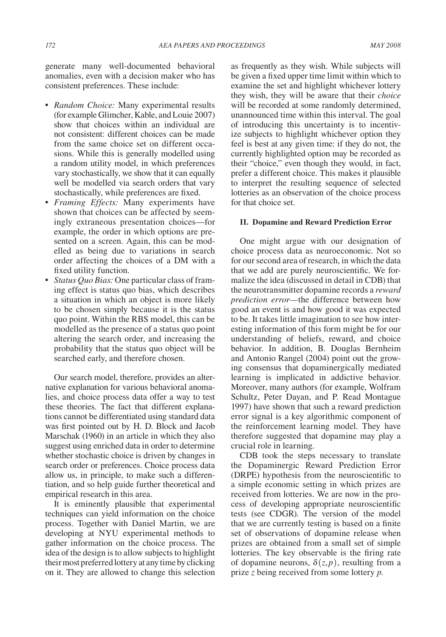generate many well-documented behavioral anomalies, even with a decision maker who has consistent preferences. These include:

- **•** *Random Choice:* Many experimental results (for example Glimcher, Kable, and Louie 2007) show that choices within an individual are not consistent: different choices can be made from the same choice set on different occasions. While this is generally modelled using a random utility model, in which preferences vary stochastically, we show that it can equally well be modelled via search orders that vary stochastically, while preferences are fixed.
- **•** *Framing Effects:* Many experiments have shown that choices can be affected by seemingly extraneous presentation choices—for example, the order in which options are presented on a screen. Again, this can be modelled as being due to variations in search order affecting the choices of a DM with a fixed utility function.
- **•** *Status Quo Bias:* One particular class of framing effect is status quo bias, which describes a situation in which an object is more likely to be chosen simply because it is the status quo point. Within the RBS model, this can be modelled as the presence of a status quo point altering the search order, and increasing the probability that the status quo object will be searched early, and therefore chosen.

Our search model, therefore, provides an alternative explanation for various behavioral anomalies, and choice process data offer a way to test these theories. The fact that different explanations cannot be differentiated using standard data was first pointed out by H. D. Block and Jacob Marschak (1960) in an article in which they also suggest using enriched data in order to determine whether stochastic choice is driven by changes in search order or preferences. Choice process data allow us, in principle, to make such a differentiation, and so help guide further theoretical and empirical research in this area.

It is eminently plausible that experimental techniques can yield information on the choice process. Together with Daniel Martin, we are developing at NYU experimental methods to gather information on the choice process. The idea of the design is to allow subjects to highlight their most preferred lottery at any time by clicking on it. They are allowed to change this selection as frequently as they wish. While subjects will be given a fixed upper time limit within which to examine the set and highlight whichever lottery they wish, they will be aware that their *choice* will be recorded at some randomly determined, unannounced time within this interval. The goal of introducing this uncertainty is to incentivize subjects to highlight whichever option they feel is best at any given time: if they do not, the currently highlighted option may be recorded as their "choice," even though they would, in fact, prefer a different choice. This makes it plausible to interpret the resulting sequence of selected lotteries as an observation of the choice process for that choice set.

## **II. Dopamine and Reward Prediction Error**

One might argue with our designation of choice process data as neuroeconomic. Not so for our second area of research, in which the data that we add are purely neuroscientific. We formalize the idea (discussed in detail in CDB) that the neurotransmitter dopamine records a *reward prediction error—*the difference between how good an event is and how good it was expected to be. It takes little imagination to see how interesting information of this form might be for our understanding of beliefs, reward, and choice behavior. In addition, B. Douglas Bernheim and Antonio Rangel (2004) point out the growing consensus that dopaminergically mediated learning is implicated in addictive behavior. Moreover, many authors (for example, Wolfram Schultz, Peter Dayan, and P. Read Montague 1997) have shown that such a reward prediction error signal is a key algorithmic component of the reinforcement learning model. They have therefore suggested that dopamine may play a crucial role in learning.

CDB took the steps necessary to translate the Dopaminergic Reward Prediction Error (DRPE) hypothesis from the neuroscientific to a simple economic setting in which prizes are received from lotteries. We are now in the process of developing appropriate neuroscientific tests (see CDGR). The version of the model that we are currently testing is based on a finite set of observations of dopamine release when prizes are obtained from a small set of simple lotteries. The key observable is the firing rate of dopamine neurons,  $\delta(z,p)$ , resulting from a prize *z* being received from some lottery *p*.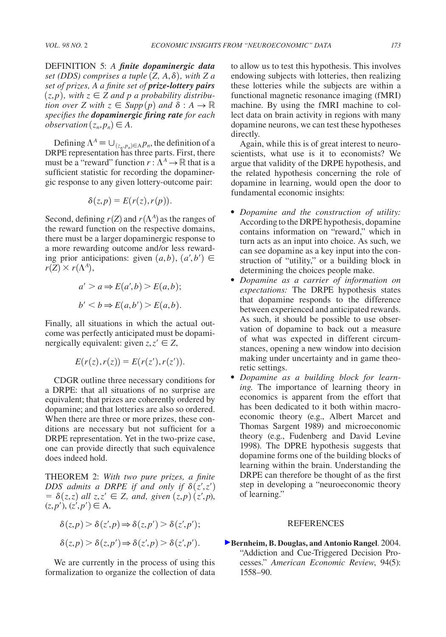Definition 5: *A finite dopaminergic data set (DDS) comprises a tuple*  $(Z, A, \delta)$ *, with Z a set of prizes, A a finite set of prize-lottery pairs*  $(z, p)$ , with  $z \in Z$  and p a probability distribu*tion over Z with*  $z \in Supp(p)$  *and*  $\delta : A \rightarrow \mathbb{R}$ *specifies the dopaminergic firing rate for each observation*  $(z_n, p_n) \in A$ .

Defining  $\Lambda^A \equiv \bigcup_{(z_n, p_n) \in A} p_n$ , the definition of a DRPE representation has three parts. First, there must be a "reward" function  $r : \Lambda^A \to \mathbb{R}$  that is a sufficient statistic for recording the dopaminergic response to any given lottery-outcome pair:

$$
\delta(z,p) = E(r(z),r(p)).
$$

Second, defining  $r(Z)$  and  $r(\Lambda^A)$  as the ranges of the reward function on the respective domains, there must be a larger dopaminergic response to a more rewarding outcome and/or less rewarding prior anticipations: given  $(a, b)$ ,  $(a', b') \in$  $r(Z) \times r(\Lambda^A)$ ,

$$
a' > a \Rightarrow E(a', b) > E(a, b);
$$
  

$$
b' < b \Rightarrow E(a, b') > E(a, b).
$$

Finally, all situations in which the actual outcome was perfectly anticipated must be dopaminergically equivalent: given  $z, z' \in Z$ ,

$$
E(r(z),r(z)) = E(r(z'),r(z')).
$$

CDGR outline three necessary conditions for a DRPE: that all situations of no surprise are equivalent; that prizes are coherently ordered by dopamine; and that lotteries are also so ordered. When there are three or more prizes, these conditions are necessary but not sufficient for a DRPE representation. Yet in the two-prize case, one can provide directly that such equivalence does indeed hold.

THEOREM 2: *With two pure prizes, a finite DDS admits a DRPE if and only if*  $\delta(z',z')$  $= \delta(z, z)$  all  $z, z' \in \mathbb{Z}$ , and, given  $(z, p)(z', p)$ ,  $(z, p'), (z', p') \in A$ ,

$$
\delta(z,p) > \delta(z',p) \Rightarrow \delta(z,p') > \delta(z',p');
$$

$$
\delta(z,p) > \delta(z,p') \Rightarrow \delta(z',p) > \delta(z',p').
$$

We are currently in the process of using this formalization to organize the collection of data to allow us to test this hypothesis. This involves endowing subjects with lotteries, then realizing these lotteries while the subjects are within a functional magnetic resonance imaging (fMRI) machine. By using the fMRI machine to collect data on brain activity in regions with many dopamine neurons, we can test these hypotheses directly.

Again, while this is of great interest to neuroscientists, what use is it to economists? We argue that validity of the DRPE hypothesis, and the related hypothesis concerning the role of dopamine in learning, would open the door to fundamental economic insights:

- *• Dopamine and the construction of utility:*  According to the DRPE hypothesis, dopamine contains information on "reward," which in turn acts as an input into choice. As such, we can see dopamine as a key input into the construction of "utility," or a building block in determining the choices people make.
- *• Dopamine as a carrier of information on expectations:* The DRPE hypothesis states that dopamine responds to the difference between experienced and anticipated rewards. As such, it should be possible to use observation of dopamine to back out a measure of what was expected in different circumstances, opening a new window into decision making under uncertainty and in game theoretic settings.
- *• Dopamine as a building block for learning.* The importance of learning theory in economics is apparent from the effort that has been dedicated to it both within macroeconomic theory (e.g., Albert Marcet and Thomas Sargent 1989) and microeconomic theory (e.g., Fudenberg and David Levine 1998). The DPRE hypothesis suggests that dopamine forms one of the building blocks of learning within the brain. Understanding the DRPE can therefore be thought of as the first step in developing a "neuroeconomic theory of learning."

## **REFERENCES**

**Bernheim, B. Douglas, and Antonio Rangel**. 2004. "Addiction and Cue-Triggered Decision Processes." *American Economic Review*, 94(5): 1558–90.